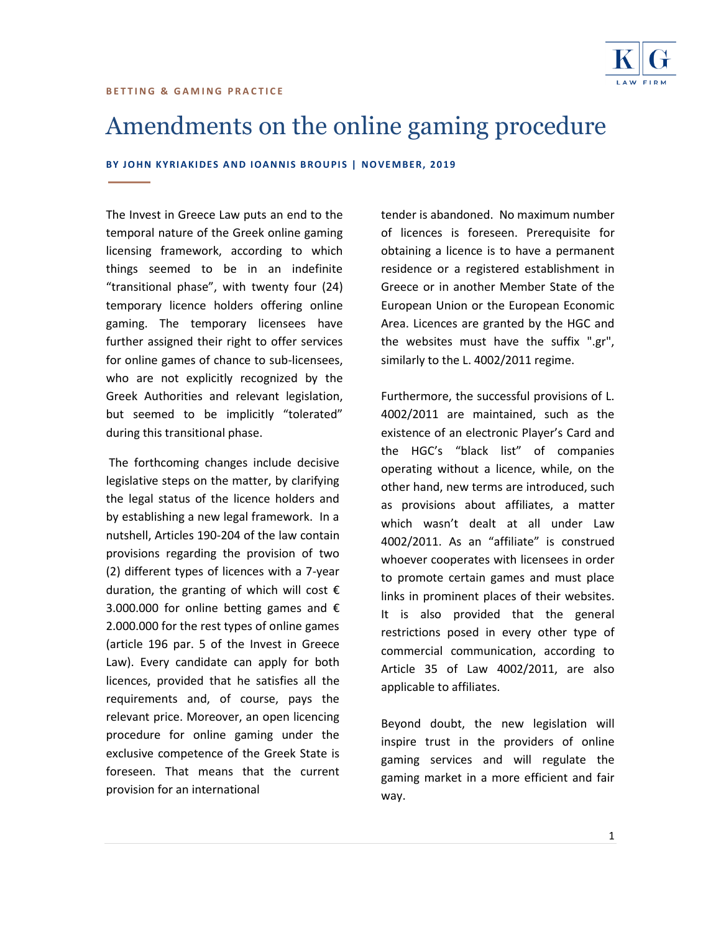

# Amendments on the online gaming procedure

**BY JOHN KYRIAKIDES AND IOANNIS BROUPIS | NOVEMBER, 2019** 

The Invest in Greece Law puts an end to the temporal nature of the Greek online gaming licensing framework, according to which things seemed to be in an indefinite "transitional phase", with twenty four (24) temporary licence holders offering online gaming. The temporary licensees have further assigned their right to offer services for online games of chance to sub-licensees, who are not explicitly recognized by the Greek Authorities and relevant legislation, but seemed to be implicitly "tolerated" during this transitional phase.

The forthcoming changes include decisive legislative steps on the matter, by clarifying the legal status of the licence holders and by establishing a new legal framework. In a nutshell, Articles 190-204 of the law contain provisions regarding the provision of two (2) different types of licences with a 7-year duration, the granting of which will cost  $\epsilon$ 3.000.000 for online betting games and € 2.000.000 for the rest types of online games (article 196 par. 5 of the Invest in Greece Law). Every candidate can apply for both licences, provided that he satisfies all the requirements and, of course, pays the relevant price. Moreover, an open licencing procedure for online gaming under the exclusive competence of the Greek State is foreseen. That means that the current provision for an international

tender is abandoned. No maximum number of licences is foreseen. Prerequisite for obtaining a licence is to have a permanent residence or a registered establishment in Greece or in another Member State of the European Union or the European Economic Area. Licences are granted by the HGC and the websites must have the suffix ".gr", similarly to the L. 4002/2011 regime.

Furthermore, the successful provisions of L. 4002/2011 are maintained, such as the existence of an electronic Player's Card and the HGC's "black list" of companies operating without a licence, while, on the other hand, new terms are introduced, such as provisions about affiliates, a matter which wasn't dealt at all under Law 4002/2011. As an "affiliate" is construed whoever cooperates with licensees in order to promote certain games and must place links in prominent places of their websites. It is also provided that the general restrictions posed in every other type of commercial communication, according to Article 35 of Law 4002/2011, are also applicable to affiliates.

Beyond doubt, the new legislation will inspire trust in the providers of online gaming services and will regulate the gaming market in a more efficient and fair way.